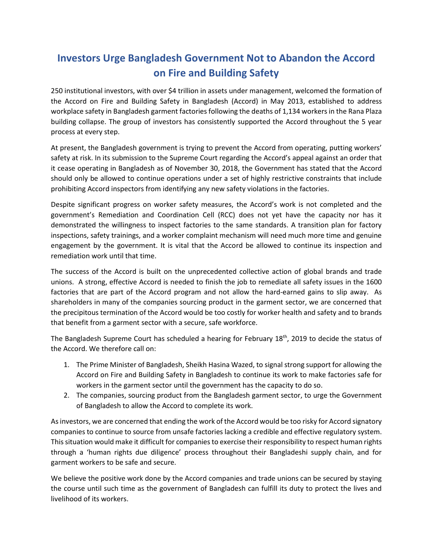## **Investors Urge Bangladesh Government Not to Abandon the Accord on Fire and Building Safety**

250 institutional investors, with over \$4 trillion in assets under management, welcomed the formation of the Accord on Fire and Building Safety in Bangladesh (Accord) in May 2013, established to address workplace safety in Bangladesh garment factories following the deaths of 1,134 workers in the Rana Plaza building collapse. The group of investors has consistently supported the Accord throughout the 5 year process at every step.

At present, the Bangladesh government is trying to prevent the Accord from operating, putting workers' safety at risk. In its submission to the Supreme Court regarding the Accord's appeal against an order that it cease operating in Bangladesh as of November 30, 2018, the Government has stated that the Accord should only be allowed to continue operations under a set of highly restrictive constraints that include prohibiting Accord inspectors from identifying any new safety violations in the factories.

Despite significant progress on worker safety measures, the Accord's work is not completed and the government's Remediation and Coordination Cell (RCC) does not yet have the capacity nor has it demonstrated the willingness to inspect factories to the same standards. A transition plan for factory inspections, safety trainings, and a worker complaint mechanism will need much more time and genuine engagement by the government. It is vital that the Accord be allowed to continue its inspection and remediation work until that time.

The success of the Accord is built on the unprecedented collective action of global brands and trade unions. A strong, effective Accord is needed to finish the job to remediate all safety issues in the 1600 factories that are part of the Accord program and not allow the hard-earned gains to slip away. As shareholders in many of the companies sourcing product in the garment sector, we are concerned that the precipitous termination of the Accord would be too costly for worker health and safety and to brands that benefit from a garment sector with a secure, safe workforce.

The Bangladesh Supreme Court has scheduled a hearing for February 18<sup>th</sup>, 2019 to decide the status of the Accord. We therefore call on:

- 1. The Prime Minister of Bangladesh, Sheikh Hasina Wazed, to signal strong support for allowing the Accord on Fire and Building Safety in Bangladesh to continue its work to make factories safe for workers in the garment sector until the government has the capacity to do so.
- 2. The companies, sourcing product from the Bangladesh garment sector, to urge the Government of Bangladesh to allow the Accord to complete its work.

As investors, we are concerned that ending the work of the Accord would be too risky for Accord signatory companies to continue to source from unsafe factories lacking a credible and effective regulatory system. This situation would make it difficult for companies to exercise their responsibility to respect human rights through a 'human rights due diligence' process throughout their Bangladeshi supply chain, and for garment workers to be safe and secure.

We believe the positive work done by the Accord companies and trade unions can be secured by staying the course until such time as the government of Bangladesh can fulfill its duty to protect the lives and livelihood of its workers.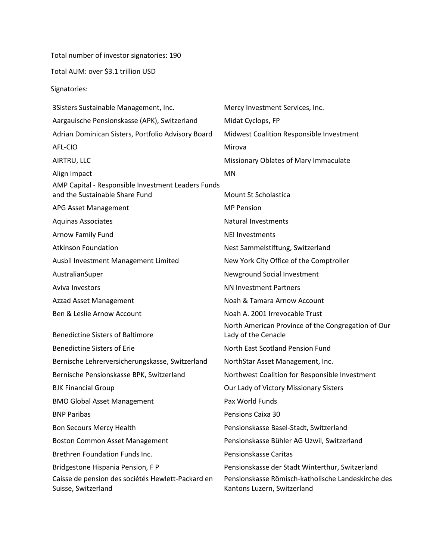Total number of investor signatories: 190

Total AUM: over \$3.1 trillion USD

Signatories:

| Mercy Investment Services, Inc.                                                   |
|-----------------------------------------------------------------------------------|
| Midat Cyclops, FP                                                                 |
| Midwest Coalition Responsible Investment                                          |
| Mirova                                                                            |
| Missionary Oblates of Mary Immaculate                                             |
| <b>MN</b>                                                                         |
| Mount St Scholastica                                                              |
| <b>MP Pension</b>                                                                 |
| <b>Natural Investments</b>                                                        |
| <b>NEI Investments</b>                                                            |
| Nest Sammelstiftung, Switzerland                                                  |
| New York City Office of the Comptroller                                           |
| Newground Social Investment                                                       |
| <b>NN Investment Partners</b>                                                     |
| Noah & Tamara Arnow Account                                                       |
| Noah A. 2001 Irrevocable Trust                                                    |
| North American Province of the Congregation of Our<br>Lady of the Cenacle         |
| North East Scotland Pension Fund                                                  |
| NorthStar Asset Management, Inc.                                                  |
| Northwest Coalition for Responsible Investment                                    |
| Our Lady of Victory Missionary Sisters                                            |
| Pax World Funds                                                                   |
| Pensions Caixa 30                                                                 |
| Pensionskasse Basel-Stadt, Switzerland                                            |
| Pensionskasse Bühler AG Uzwil, Switzerland                                        |
| Pensionskasse Caritas                                                             |
| Pensionskasse der Stadt Winterthur, Switzerland                                   |
| Pensionskasse Römisch-katholische Landeskirche des<br>Kantons Luzern, Switzerland |
|                                                                                   |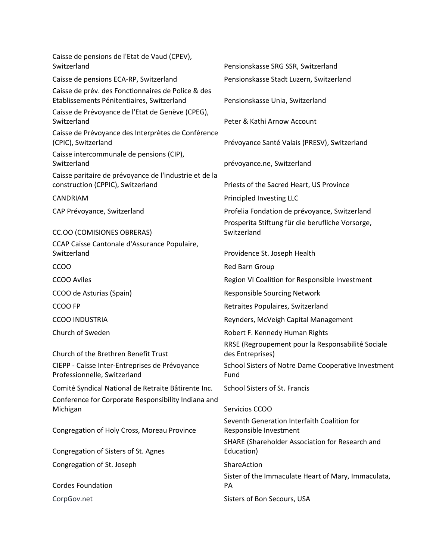| Caisse de pensions de l'Etat de Vaud (CPEV),<br>Switzerland                                      | Pensionskasse SRG SSR, Switzerland                                    |
|--------------------------------------------------------------------------------------------------|-----------------------------------------------------------------------|
| Caisse de pensions ECA-RP, Switzerland                                                           | Pensionskasse Stadt Luzern, Switzerland                               |
| Caisse de prév. des Fonctionnaires de Police & des<br>Etablissements Pénitentiaires, Switzerland | Pensionskasse Unia, Switzerland                                       |
| Caisse de Prévoyance de l'Etat de Genève (CPEG),<br>Switzerland                                  | Peter & Kathi Arnow Account                                           |
| Caisse de Prévoyance des Interprètes de Conférence<br>(CPIC), Switzerland                        | Prévoyance Santé Valais (PRESV), Switzerland                          |
| Caisse intercommunale de pensions (CIP),<br>Switzerland                                          | prévoyance.ne, Switzerland                                            |
| Caisse paritaire de prévoyance de l'industrie et de la<br>construction (CPPIC), Switzerland      | Priests of the Sacred Heart, US Province                              |
| <b>CANDRIAM</b>                                                                                  | Principled Investing LLC                                              |
| CAP Prévoyance, Switzerland                                                                      | Profelia Fondation de prévoyance, Switzerland                         |
| CC.OO (COMISIONES OBRERAS)                                                                       | Prosperita Stiftung für die berufliche Vorsorge,<br>Switzerland       |
| CCAP Caisse Cantonale d'Assurance Populaire,<br>Switzerland                                      | Providence St. Joseph Health                                          |
| <b>CCOO</b>                                                                                      | Red Barn Group                                                        |
| <b>CCOO Aviles</b>                                                                               | Region VI Coalition for Responsible Investment                        |
| CCOO de Asturias (Spain)                                                                         | <b>Responsible Sourcing Network</b>                                   |
| CCOO FP                                                                                          | Retraites Populaires, Switzerland                                     |
| <b>CCOO INDUSTRIA</b>                                                                            | Reynders, McVeigh Capital Management                                  |
| Church of Sweden                                                                                 | Robert F. Kennedy Human Rights                                        |
| Church of the Brethren Benefit Trust                                                             | RRSE (Regroupement pour la Responsabilité Sociale<br>des Entreprises) |
| CIEPP - Caisse Inter-Entreprises de Prévoyance<br>Professionnelle, Switzerland                   | School Sisters of Notre Dame Cooperative Investment<br>Fund           |
| Comité Syndical National de Retraite Bâtirente Inc.                                              | <b>School Sisters of St. Francis</b>                                  |
| Conference for Corporate Responsibility Indiana and                                              |                                                                       |
| Michigan                                                                                         | Servicios CCOO                                                        |
| Congregation of Holy Cross, Moreau Province                                                      | Seventh Generation Interfaith Coalition for<br>Responsible Investment |
| Congregation of Sisters of St. Agnes                                                             | SHARE (Shareholder Association for Research and<br>Education)         |
| Congregation of St. Joseph                                                                       | ShareAction                                                           |
| <b>Cordes Foundation</b>                                                                         | Sister of the Immaculate Heart of Mary, Immaculata,<br><b>PA</b>      |
| CorpGov.net                                                                                      | Sisters of Bon Secours, USA                                           |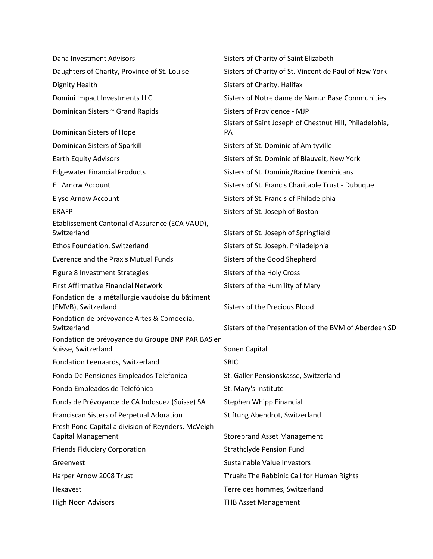| Dana Investment Advisors                                                        | Sisters of Charity of Saint Elizabeth                                |
|---------------------------------------------------------------------------------|----------------------------------------------------------------------|
| Daughters of Charity, Province of St. Louise                                    | Sisters of Charity of St. Vincent de Paul of New York                |
| <b>Dignity Health</b>                                                           | Sisters of Charity, Halifax                                          |
| Domini Impact Investments LLC                                                   | Sisters of Notre dame de Namur Base Communities                      |
| Dominican Sisters ~ Grand Rapids                                                | Sisters of Providence - MJP                                          |
| Dominican Sisters of Hope                                                       | Sisters of Saint Joseph of Chestnut Hill, Philadelphia,<br><b>PA</b> |
| Dominican Sisters of Sparkill                                                   | Sisters of St. Dominic of Amityville                                 |
| <b>Earth Equity Advisors</b>                                                    | Sisters of St. Dominic of Blauvelt, New York                         |
| <b>Edgewater Financial Products</b>                                             | Sisters of St. Dominic/Racine Dominicans                             |
| Eli Arnow Account                                                               | Sisters of St. Francis Charitable Trust - Dubuque                    |
| <b>Elyse Arnow Account</b>                                                      | Sisters of St. Francis of Philadelphia                               |
| <b>ERAFP</b>                                                                    | Sisters of St. Joseph of Boston                                      |
| Etablissement Cantonal d'Assurance (ECA VAUD),                                  |                                                                      |
| Switzerland                                                                     | Sisters of St. Joseph of Springfield                                 |
| Ethos Foundation, Switzerland                                                   | Sisters of St. Joseph, Philadelphia                                  |
| <b>Everence and the Praxis Mutual Funds</b>                                     | Sisters of the Good Shepherd                                         |
| Figure 8 Investment Strategies                                                  | Sisters of the Holy Cross                                            |
| <b>First Affirmative Financial Network</b>                                      | Sisters of the Humility of Mary                                      |
| Fondation de la métallurgie vaudoise du bâtiment<br>(FMVB), Switzerland         | <b>Sisters of the Precious Blood</b>                                 |
| Fondation de prévoyance Artes & Comoedia,<br>Switzerland                        | Sisters of the Presentation of the BVM of Aberdeen SD                |
| Fondation de prévoyance du Groupe BNP PARIBAS en                                |                                                                      |
| Suisse, Switzerland                                                             | Sonen Capital                                                        |
| Fondation Leenaards, Switzerland                                                | <b>SRIC</b>                                                          |
| Fondo De Pensiones Empleados Telefonica                                         | St. Galler Pensionskasse, Switzerland                                |
| Fondo Empleados de Telefónica                                                   | St. Mary's Institute                                                 |
| Fonds de Prévoyance de CA Indosuez (Suisse) SA                                  | Stephen Whipp Financial                                              |
| Franciscan Sisters of Perpetual Adoration                                       | Stiftung Abendrot, Switzerland                                       |
| Fresh Pond Capital a division of Reynders, McVeigh<br><b>Capital Management</b> | <b>Storebrand Asset Management</b>                                   |
| <b>Friends Fiduciary Corporation</b>                                            | <b>Strathclyde Pension Fund</b>                                      |
| Greenvest                                                                       | Sustainable Value Investors                                          |
| Harper Arnow 2008 Trust                                                         | T'ruah: The Rabbinic Call for Human Rights                           |
| Hexavest                                                                        | Terre des hommes, Switzerland                                        |
| <b>High Noon Advisors</b>                                                       | <b>THB Asset Management</b>                                          |